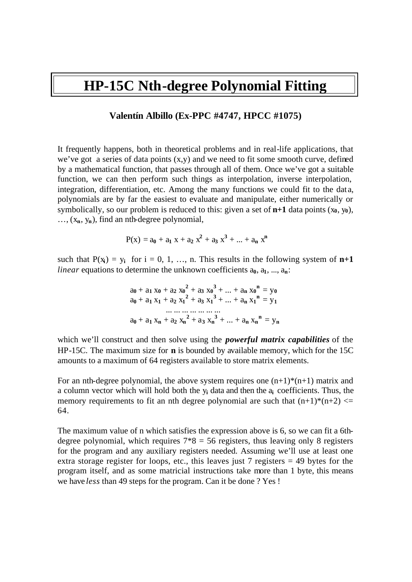# **HP-15C Nth-degree Polynomial Fitting**

#### **Valentín Albillo (Ex-PPC #4747, HPCC #1075)**

It frequently happens, both in theoretical problems and in real-life applications, that we've got a series of data points (x,y) and we need to fit some smooth curve, defined by a mathematical function, that passes through all of them. Once we've got a suitable function, we can then perform such things as interpolation, inverse interpolation, integration, differentiation, etc. Among the many functions we could fit to the dat a, polynomials are by far the easiest to evaluate and manipulate, either numerically or symbolically, so our problem is reduced to this: given a set of  $n+1$  data points  $(x_0, y_0)$ , …, (x**n**, y**n**), find an nth-degree polynomial,

$$
P(x) = a_0 + a_1 x + a_2 x^2 + a_3 x^3 + ... + a_n x^n
$$

such that  $P(x_i) = y_i$  for  $i = 0, 1, ..., n$ . This results in the following system of  $n+1$ *linear* equations to determine the unknown coefficients  $a_0, a_1, ..., a_n$ .

$$
a_0 + a_1 x_0 + a_2 x_0^2 + a_3 x_0^3 + \dots + a_n x_0^n = y_0
$$
  
\n
$$
a_0 + a_1 x_1 + a_2 x_1^2 + a_3 x_1^3 + \dots + a_n x_1^n = y_1
$$
  
\n... ... ... ...  
\n
$$
a_0 + a_1 x_n + a_2 x_n^2 + a_3 x_n^3 + \dots + a_n x_n^n = y_n
$$

which we'll construct and then solve using the *powerful matrix capabilities* of the HP-15C. The maximum size for **n** is bounded by available memory, which for the 15C amounts to a maximum of 64 registers available to store matrix elements.

For an nth-degree polynomial, the above system requires one  $(n+1)*(n+1)$  matrix and a column vector which will hold both the y**i** data and then the a**i** coefficients. Thus, the memory requirements to fit an nth degree polynomial are such that  $(n+1)*(n+2) \leq$ 64.

The maximum value of n which satisfies the expression above is 6, so we can fit a 6thdegree polynomial, which requires  $7*8 = 56$  registers, thus leaving only 8 registers for the program and any auxiliary registers needed. Assuming we'll use at least one extra storage register for loops, etc., this leaves just 7 registers  $= 49$  bytes for the program itself, and as some matricial instructions take more than 1 byte, this means we have *less* than 49 steps for the program. Can it be done ? Yes !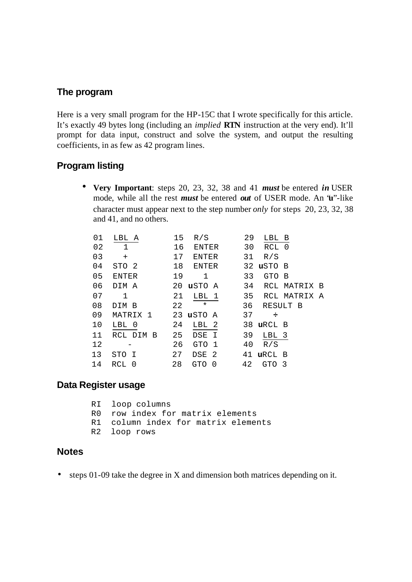# **The program**

Here is a very small program for the HP-15C that I wrote specifically for this article. It's exactly 49 bytes long (including an *implied* **RTN** instruction at the very end). It'll prompt for data input, construct and solve the system, and output the resulting coefficients, in as few as 42 program lines.

## **Program listing**

• **Very Important**: steps 20, 23, 32, 38 and 41 *must* be entered *in* USER mode, while all the rest *must* be entered *out* of USER mode. An "**u**"-like character must appear next to the step number *only* for steps 20, 23, 32, 38 and 41, and no others.

| LBL A        | 15 | R/S        |                      |                                                                                     | 29                         | LBL B          |                                  |                                                                                                                                   |
|--------------|----|------------|----------------------|-------------------------------------------------------------------------------------|----------------------------|----------------|----------------------------------|-----------------------------------------------------------------------------------------------------------------------------------|
| $\mathbf{1}$ | 16 |            |                      |                                                                                     |                            |                |                                  |                                                                                                                                   |
| $+$          |    |            |                      |                                                                                     |                            | R/S            |                                  |                                                                                                                                   |
| STO 2        |    |            |                      |                                                                                     |                            |                |                                  |                                                                                                                                   |
| <b>ENTER</b> | 19 | 1          |                      |                                                                                     |                            |                |                                  |                                                                                                                                   |
| DIM A        |    |            |                      |                                                                                     |                            |                |                                  |                                                                                                                                   |
| $\mathbf{1}$ | 21 |            |                      |                                                                                     |                            |                |                                  |                                                                                                                                   |
| DIM B        | 22 | $^\star$   |                      |                                                                                     |                            |                |                                  |                                                                                                                                   |
| MATRIX 1     |    |            |                      |                                                                                     |                            | $\div$         |                                  |                                                                                                                                   |
| LBL 0        | 24 |            |                      |                                                                                     |                            |                |                                  |                                                                                                                                   |
| RCL DIM B    |    |            |                      |                                                                                     |                            |                |                                  |                                                                                                                                   |
|              |    |            |                      |                                                                                     |                            | R/S            |                                  |                                                                                                                                   |
| STO I        | 27 |            |                      |                                                                                     |                            |                |                                  |                                                                                                                                   |
| RCL 0        | 28 | <b>GTO</b> | 0                    |                                                                                     |                            |                |                                  |                                                                                                                                   |
|              |    |            | 17<br>18<br>25<br>26 | ENTER<br>ENTER<br>LBL 1<br>23 uSTO A<br>LBL 2<br>DSE I<br>GTO 1<br>DSE <sub>2</sub> | ENTER<br>20 <b>u</b> sto A | 33<br>37<br>42 | 31<br>34<br>35<br>36<br>39<br>40 | 30 RCL 0<br>32 uSTO B<br>GTO B<br>RCL MATRIX B<br>RCL MATRIX A<br>RESULT B<br>38 uRCL B<br>LBL 3<br>41 uRCL B<br>GTO <sub>3</sub> |

# **Data Register usage**

```
 RI loop columns
R0 row index for matrix elements
R1 column index for matrix elements
R2 loop rows
```
#### **Notes**

• steps 01-09 take the degree in X and dimension both matrices depending on it.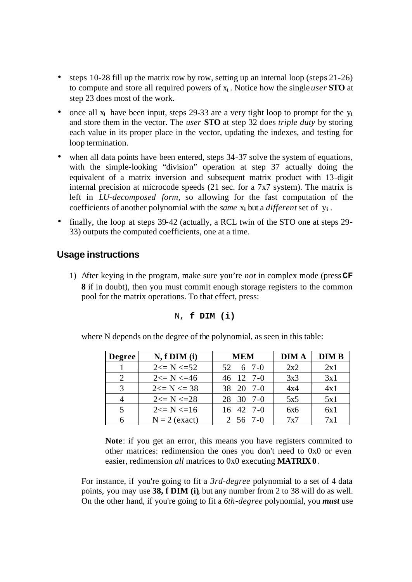- steps 10-28 fill up the matrix row by row, setting up an internal loop (steps 21-26) to compute and store all required powers of x**i** . Notice how the single *user* **STO** at step 23 does most of the work.
- once all  $x_i$  have been input, steps 29-33 are a very tight loop to prompt for the  $y_i$ and store them in the vector. The *user* **STO** at step 32 does *triple duty* by storing each value in its proper place in the vector, updating the indexes, and testing for loop termination.
- when all data points have been entered, steps 34-37 solve the system of equations, with the simple-looking "division" operation at step 37 actually doing the equivalent of a matrix inversion and subsequent matrix product with 13-digit internal precision at microcode speeds (21 sec. for a 7x7 system). The matrix is left in *LU-decomposed form*, so allowing for the fast computation of the coefficients of another polynomial with the *same* x**i** but a *different* set of y**i** .
- finally, the loop at steps 39-42 (actually, a RCL twin of the STO one at steps 29-33) outputs the computed coefficients, one at a time.

# **Usage instructions**

1) After keying in the program, make sure you're *not* in complex mode (press **CF 8** if in doubt), then you must commit enough storage registers to the common pool for the matrix operations. To that effect, press:

```
N, f DIM (i)
```
where N depends on the degree of the polynomial, as seen in this table:

| <b>Degree</b>               | $N, f$ DIM $(i)$ | <b>MEM</b>        | <b>DIMA</b> | <b>DIM B</b> |
|-----------------------------|------------------|-------------------|-------------|--------------|
| $\mathbf{1}$                | $2 \le N \le 52$ | 52 6 7-0          | 2x2         | 2x1          |
| $\mathcal{D}_{\mathcal{L}}$ | $2 \le N \le 46$ | 46 12 7-0         | 3x3         | 3x1          |
| $\mathcal{R}$               | $2 \le N \le 38$ | 38 20 7-0         | 4x4         | 4x1          |
| $\overline{4}$              | $2 \le N \le 28$ | 28 30 7-0         | 5x5         | 5x1          |
| 5                           | $2 \le N \le 16$ | $16 \t 42 \t 7-0$ | 6x6         | 6x1          |
|                             | $N = 2$ (exact)  | 2 56 7-0          | 7x7         | 7x1          |

**Note**: if you get an error, this means you have registers commited to other matrices: redimension the ones you don't need to 0x0 or even easier, redimension *all* matrices to 0x0 executing **MATRIX 0**.

For instance, if you're going to fit a *3rd-degree* polynomial to a set of 4 data points, you may use **38, f DIM (i)**, but any number from 2 to 38 will do as well. On the other hand, if you're going to fit a *6th-degree* polynomial, you *must* use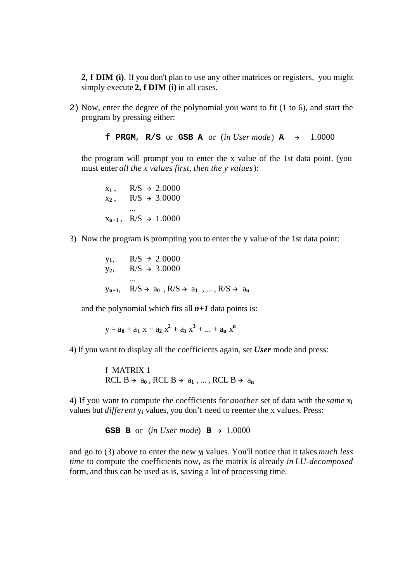**2, f DIM (i)**. If you don't plan to use any other matrices or registers, you might simply execute 2, f DIM (i) in all cases.

2) Now, enter the degree of the polynomial you want to fit (1 to 6), and start the program by pressing either:

**f** PRGM, R/S or GSB A or (*in User mode*) A  $\rightarrow$  1.0000

the program will prompt you to enter the x value of the 1st data point. (you must enter *all the x values first, then the y values*):

 $x_1$ ,  $R/S \rightarrow 2.0000$  $x_2$ ,  $R/S \rightarrow 3.0000$ ...  $x_{n+1}$ , R/S  $\rightarrow$  1.0000

3) Now the program is prompting you to enter the y value of the 1st data point:

 $y_1$ , R/S  $\rightarrow$  2.0000  $y_2$ , R/S  $\rightarrow$  3.0000 ...  $y_{n+1}$ ,  $R/S \rightarrow a_0$ ,  $R/S \rightarrow a_1$ , ...,  $R/S \rightarrow a_n$ 

and the polynomial which fits all  $n+1$  data points is:

 $y = a_0 + a_1 x + a_2 x^2 + a_3 x^3 + ... + a_n x^n$ 

4) If you want to display all the coefficients again, set *User* mode and press:

f MATRIX 1 RCL  $B \rightarrow a_0$ , RCL  $B \rightarrow a_1$ , ..., RCL  $B \rightarrow a_n$ 

4) If you want to compute the coefficients for *another* set of data with the *same* x**<sup>i</sup>** values but *different* y**i** values, you don't need to reenter the x values. Press:

**GSB B** or (*in User mode*)  $B \rightarrow 1.0000$ 

and go to (3) above to enter the new y**i** values. You'll notice that it takes *much less time* to compute the coefficients now, as the matrix is already *in LU-decomposed* form, and thus can be used as is, saving a lot of processing time.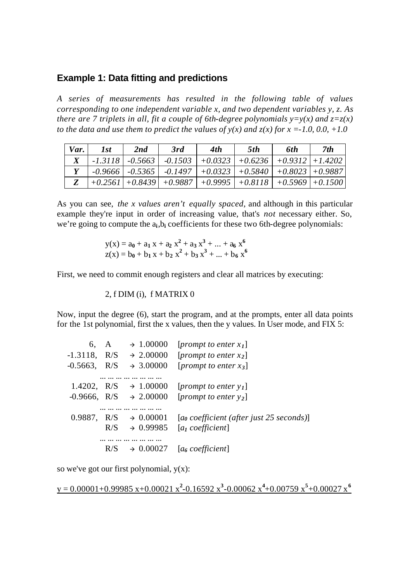### **Example 1: Data fitting and predictions**

*A series of measurements has resulted in the following table of values corresponding to one independent variable x, and two dependent variables y, z. As there are 7 triplets in all, fit a couple of 6th-degree polynomials*  $y=y(x)$  *and*  $z=z(x)$ *to the data and use them to predict the values of*  $y(x)$  *and*  $z(x)$  *for x =-1.0, 0.0, +1.0* 

| Var. | 1st | 2nd | 3rd                                                                               | 4th | 5th | 6th | 7th |
|------|-----|-----|-----------------------------------------------------------------------------------|-----|-----|-----|-----|
|      |     |     | -1.3118   -0.5663   -0.1503   +0.0323   +0.6236   +0.9312   +1.4202               |     |     |     |     |
|      |     |     | $-0.9666$   $-0.5365$   $-0.1497$   $+0.0323$   $+0.5840$   $+0.8023$   $+0.9887$ |     |     |     |     |
|      |     |     | $\left[+0.2561\right] +0.8439\right] +0.9887$ + 0.9995 + 0.8118 + 0.5969 + 0.1500 |     |     |     |     |

As you can see, *the x values aren't equally spaced*, and although in this particular example they're input in order of increasing value, that's *not* necessary either. So, we're going to compute the  $a_i, b_i$  coefficients for these two 6th-degree polynomials:

$$
y(x) = a_0 + a_1 x + a_2 x^2 + a_3 x^3 + ... + a_6 x^6
$$
  
\n
$$
z(x) = b_0 + b_1 x + b_2 x^2 + b_3 x^3 + ... + b_6 x^6
$$

First, we need to commit enough registers and clear all matrices by executing:

2, f DIM (i), f MATRIX 0

Now, input the degree (6), start the program, and at the prompts, enter all data points for the 1st polynomial, first the x values, then the y values. In User mode, and FIX 5:

| 6.             | A   | $\rightarrow 1.00000$ | [ <i>prompt</i> to enter $x_1$ ]           |
|----------------|-----|-----------------------|--------------------------------------------|
| $-1.3118$ ,    | R/S | $\rightarrow 2.00000$ | [ <i>prompt to enter x</i> <sub>2</sub> ]  |
| $-0.5663$ ,    | R/S | $\rightarrow 3.00000$ | [ <i>prompt</i> to enter $x_3$ ]           |
|                |     |                       |                                            |
| 1.4202, $R/S$  |     | $\rightarrow 1.00000$ | $[prompt\ to\ enter\ y_1]$                 |
| $-0.9666, R/S$ |     | $\rightarrow 2.00000$ | [ <i>prompt to enter</i> $y_2$ ]           |
|                |     |                       |                                            |
| 0.9887,        | R/S | $\rightarrow 0.00001$ | $[a0 coefficient (after just 25 seconds)]$ |
|                | R/S | $\div$ 0.99985        | [a <sub>I</sub> coefficient]               |
|                |     | .                     |                                            |
|                |     |                       | [a <sub>6</sub> coefficient]               |

so we've got our first polynomial,  $y(x)$ :

 $y = 0.00001 + 0.99985 x + 0.00021 x^2 - 0.16592 x^3 - 0.00062 x^4 + 0.00759 x^5 + 0.00027 x^6$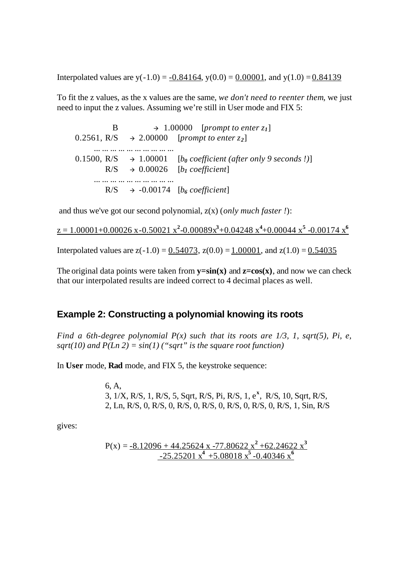Interpolated values are  $y(-1.0) = -0.84164$ ,  $y(0.0) = 0.00001$ , and  $y(1.0) = 0.84139$ 

To fit the z values, as the x values are the same, *we don't need to reenter them*, we just need to input the z values. Assuming we're still in User mode and FIX 5:

B  $\rightarrow$  1.00000 [*prompt to enter z<sub>1</sub>*]  $0.2561, R/S \rightarrow 2.00000$  [*prompt to enter z*<sub>2</sub>] ... ... ... ... ... ... ... ... ... ... 0.1500,  $R/S \rightarrow 1.00001$  [*b*<sub>0</sub> coefficient (after only 9 seconds !)]  $R/S \rightarrow 0.00026$  [*b<sub>1</sub>* coefficient] ... ... ... ... ... ... ... ... ... ...  $R/S \rightarrow -0.00174$  [*b*<sup>*6*</sup> coefficient]

and thus we've got our second polynomial, z(x) (*only much faster !*):

 $z = 1.00001 + 0.00026$  x $-0.50021$  x<sup>2</sup> $-0.00089x^3 + 0.04248$  x<sup>4</sup> $+0.00044$  x<sup>5</sup> $-0.00174$  x<sup>6</sup>

Interpolated values are  $z(-1.0) = 0.54073$ ,  $z(0.0) = 1.00001$ , and  $z(1.0) = 0.54035$ 

The original data points were taken from  $\mathbf{v} = \sin(\mathbf{x})$  and  $\mathbf{z} = \cos(\mathbf{x})$ , and now we can check that our interpolated results are indeed correct to 4 decimal places as well.

#### **Example 2: Constructing a polynomial knowing its roots**

*Find a 6th-degree polynomial P(x) such that its roots are 1/3, 1, sqrt(5), Pi, e, sqrt(10)* and  $P(Ln 2) = sin(1)$  ("*sqrt*" *is the square root function*)

In **User** mode, **Rad** mode, and FIX 5, the keystroke sequence:

 6, A, 3, 1/X, R/S, 1, R/S, 5, Sqrt, R/S, Pi, R/S, 1, e**<sup>x</sup>** , R/S, 10, Sqrt, R/S, 2, Ln, R/S, 0, R/S, 0, R/S, 0, R/S, 0, R/S, 0, R/S, 0, R/S, 1, Sin, R/S

gives:

$$
P(x) = \frac{-8.12096 + 44.25624 \times -77.80622 \times^2 + 62.24622 \times^3}{-25.25201 \times^4 + 5.08018 \times^5 - 0.40346 \times^6}
$$